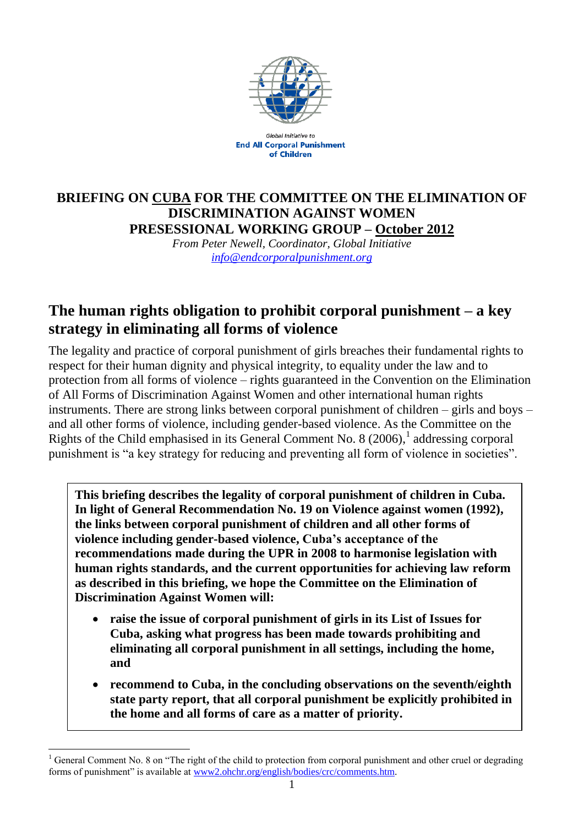

**Global Initiative to End All Corporal Punishment** of Children

### **BRIEFING ON CUBA FOR THE COMMITTEE ON THE ELIMINATION OF DISCRIMINATION AGAINST WOMEN PRESESSIONAL WORKING GROUP – October 2012**

*From Peter Newell, Coordinator, Global Initiative [info@endcorporalpunishment.org](mailto:info@endcorporalpunishment.org)*

# **The human rights obligation to prohibit corporal punishment – a key strategy in eliminating all forms of violence**

The legality and practice of corporal punishment of girls breaches their fundamental rights to respect for their human dignity and physical integrity, to equality under the law and to protection from all forms of violence – rights guaranteed in the Convention on the Elimination of All Forms of Discrimination Against Women and other international human rights instruments. There are strong links between corporal punishment of children – girls and boys – and all other forms of violence, including gender-based violence. As the Committee on the Rights of the Child emphasised in its General Comment No. 8  $(2006)$ ,<sup>1</sup> addressing corporal punishment is "a key strategy for reducing and preventing all form of violence in societies".

**This briefing describes the legality of corporal punishment of children in Cuba. In light of General Recommendation No. 19 on Violence against women (1992), the links between corporal punishment of children and all other forms of violence including gender-based violence, Cuba's acceptance of the recommendations made during the UPR in 2008 to harmonise legislation with human rights standards, and the current opportunities for achieving law reform as described in this briefing, we hope the Committee on the Elimination of Discrimination Against Women will:**

- **raise the issue of corporal punishment of girls in its List of Issues for Cuba, asking what progress has been made towards prohibiting and eliminating all corporal punishment in all settings, including the home, and**
- **recommend to Cuba, in the concluding observations on the seventh/eighth state party report, that all corporal punishment be explicitly prohibited in the home and all forms of care as a matter of priority.**

 $\overline{a}$ <sup>1</sup> General Comment No. 8 on "The right of the child to protection from corporal punishment and other cruel or degrading forms of punishment" is available at [www2.ohchr.org/english/bodies/crc/comments.htm.](http://www.ohchr.org/english/bodies/crc/comments.htm)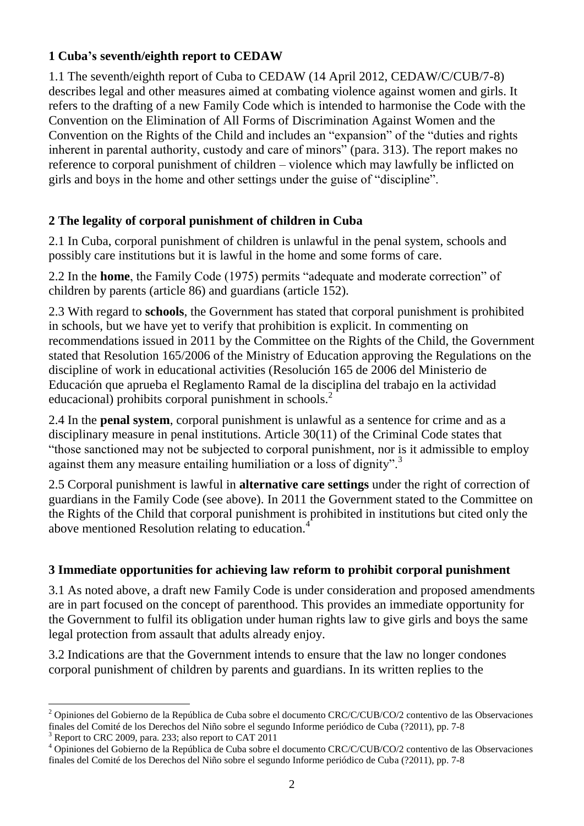#### **1 Cuba's seventh/eighth report to CEDAW**

1.1 The seventh/eighth report of Cuba to CEDAW (14 April 2012, CEDAW/C/CUB/7-8) describes legal and other measures aimed at combating violence against women and girls. It refers to the drafting of a new Family Code which is intended to harmonise the Code with the Convention on the Elimination of All Forms of Discrimination Against Women and the Convention on the Rights of the Child and includes an "expansion" of the "duties and rights inherent in parental authority, custody and care of minors" (para. 313). The report makes no reference to corporal punishment of children – violence which may lawfully be inflicted on girls and boys in the home and other settings under the guise of "discipline".

### **2 The legality of corporal punishment of children in Cuba**

2.1 In Cuba, corporal punishment of children is unlawful in the penal system, schools and possibly care institutions but it is lawful in the home and some forms of care.

2.2 In the **home**, the Family Code (1975) permits "adequate and moderate correction" of children by parents (article 86) and guardians (article 152).

2.3 With regard to **schools**, the Government has stated that corporal punishment is prohibited in schools, but we have yet to verify that prohibition is explicit. In commenting on recommendations issued in 2011 by the Committee on the Rights of the Child, the Government stated that Resolution 165/2006 of the Ministry of Education approving the Regulations on the discipline of work in educational activities (Resolución 165 de 2006 del Ministerio de Educación que aprueba el Reglamento Ramal de la disciplina del trabajo en la actividad educacional) prohibits corporal punishment in schools.<sup>2</sup>

2.4 In the **penal system**, corporal punishment is unlawful as a sentence for crime and as a disciplinary measure in penal institutions. Article 30(11) of the Criminal Code states that "those sanctioned may not be subjected to corporal punishment, nor is it admissible to employ against them any measure entailing humiliation or a loss of dignity".<sup>3</sup>

2.5 Corporal punishment is lawful in **alternative care settings** under the right of correction of guardians in the Family Code (see above). In 2011 the Government stated to the Committee on the Rights of the Child that corporal punishment is prohibited in institutions but cited only the above mentioned Resolution relating to education.<sup>4</sup>

## **3 Immediate opportunities for achieving law reform to prohibit corporal punishment**

3.1 As noted above, a draft new Family Code is under consideration and proposed amendments are in part focused on the concept of parenthood. This provides an immediate opportunity for the Government to fulfil its obligation under human rights law to give girls and boys the same legal protection from assault that adults already enjoy.

3.2 Indications are that the Government intends to ensure that the law no longer condones corporal punishment of children by parents and guardians. In its written replies to the

Report to CRC 2009, para. 233; also report to CAT 2011

 $\overline{a}$ <sup>2</sup> Opiniones del Gobierno de la República de Cuba sobre el documento CRC/C/CUB/CO/2 contentivo de las Observaciones finales del Comité de los Derechos del Niño sobre el segundo Informe periódico de Cuba (?2011), pp. 7-8

<sup>4</sup> Opiniones del Gobierno de la República de Cuba sobre el documento CRC/C/CUB/CO/2 contentivo de las Observaciones finales del Comité de los Derechos del Niño sobre el segundo Informe periódico de Cuba (?2011), pp. 7-8